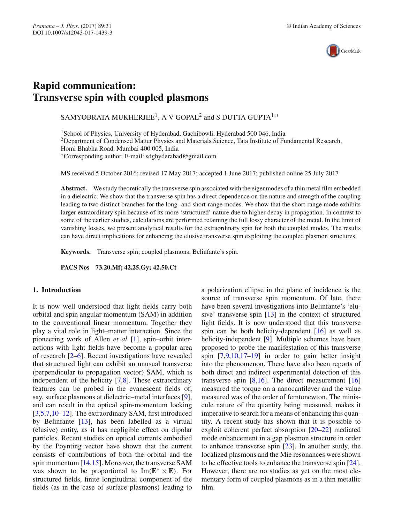

# **Rapid communication: Transverse spin with coupled plasmons**

SAMYOBRATA MUKHERJEE<sup>1</sup>, A V GOPAL<sup>2</sup> and S DUTTA GUPTA<sup>1,\*</sup>

<sup>1</sup>School of Physics, University of Hyderabad, Gachibowli, Hyderabad 500 046, India <sup>2</sup>Department of Condensed Matter Physics and Materials Science, Tata Institute of Fundamental Research, Homi Bhabha Road, Mumbai 400 005, India ∗Corresponding author. E-mail: sdghyderabad@gmail.com

MS received 5 October 2016; revised 17 May 2017; accepted 1 June 2017; published online 25 July 2017

**Abstract.** We study theoretically the transverse spin associated with the eigenmodes of a thin metal film embedded in a dielectric. We show that the transverse spin has a direct dependence on the nature and strength of the coupling leading to two distinct branches for the long- and short-range modes. We show that the short-range mode exhibits larger extraordinary spin because of its more 'structured' nature due to higher decay in propagation. In contrast to some of the earlier studies, calculations are performed retaining the full lossy character of the metal. In the limit of vanishing losses, we present analytical results for the extraordinary spin for both the coupled modes. The results can have direct implications for enhancing the elusive transverse spin exploiting the coupled plasmon structures.

**Keywords.** Transverse spin; coupled plasmons; Belinfante's spin.

**PACS Nos 73.20.Mf; 42.25.Gy; 42.50.Ct**

# **1. Introduction**

It is now well understood that light fields carry both orbital and spin angular momentum (SAM) in addition to the conventional linear momentum. Together they play a vital role in light–matter interaction. Since the pioneering work of Allen *et al* [1], spin–orbit interactions with light fields have become a popular area of research [2–6]. Recent investigations have revealed that structured light can exhibit an unusual transverse (perpendicular to propagation vector) SAM, which is independent of the helicity [7,8]. These extraordinary features can be probed in the evanescent fields of, say, surface plasmons at dielectric–metal interfaces [9], and can result in the optical spin-momentum locking [3,5,7,10–12]. The extraordinary SAM, first introduced by Belinfante [13], has been labelled as a virtual (elusive) entity, as it has negligible effect on dipolar particles. Recent studies on optical currents embodied by the Poynting vector have shown that the current consists of contributions of both the orbital and the spin momentum [14,15]. Moreover, the transverse SAM was shown to be proportional to  $Im(E^* \times E)$ . For structured fields, finite longitudinal component of the fields (as in the case of surface plasmons) leading to a polarization ellipse in the plane of incidence is the source of transverse spin momentum. Of late, there have been several investigations into Belinfante's 'elusive' transverse spin [13] in the context of structured light fields. It is now understood that this transverse spin can be both helicity-dependent [16] as well as helicity-independent [9]. Multiple schemes have been proposed to probe the manifestation of this transverse spin [7,9,10,17–19] in order to gain better insight into the phenomenon. There have also been reports of both direct and indirect experimental detection of this transverse spin  $[8,16]$ . The direct measurement  $[16]$ measured the torque on a nanocantilever and the value measured was of the order of femtonewton. The miniscule nature of the quantity being measured, makes it imperative to search for a means of enhancing this quantity. A recent study has shown that it is possible to exploit coherent perfect absorption [20–22] mediated mode enhancement in a gap plasmon structure in order to enhance transverse spin [23]. In another study, the localized plasmons and the Mie resonances were shown to be effective tools to enhance the transverse spin [24]. However, there are no studies as yet on the most elementary form of coupled plasmons as in a thin metallic film.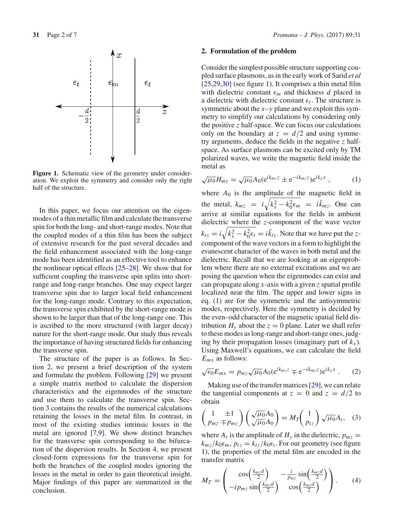

Figure 1. Schematic view of the geometry under consideration. We exploit the symmetry and consider only the right half of the structure.

In this paper, we focus our attention on the eigenmodes of a thin metallic film and calculate the transverse spin for both the long- and short-range modes. Note that the coupled modes of a thin film has been the subject of extensive research for the past several decades and the field enhancement associated with the long-range mode has been identified as an effective tool to enhance the nonlinear optical effects  $[25-28]$ . We show that for sufficient coupling the transverse spin splits into shortrange and long-range branches. One may expect larger transverse spin due to larger local field enhancement for the long-range mode. Contrary to this expectation, the transverse spin exhibited by the short-range mode is shown to be larger than that of the long-range one. This is ascribed to the more structured (with larger decay) nature for the short-range mode. Our study thus reveals the importance of having structured fields for enhancing the transverse spin.

The structure of the paper is as follows. In Section 2, we present a brief description of the system and formulate the problem. Following [29] we present a simple matrix method to calculate the dispersion characteristics and the eigenmodes of the structure and use them to calculate the transverse spin. Section 3 contains the results of the numerical calculations retaining the losses in the metal film. In contrast, in most of the existing studies intrinsic losses in the metal are ignored [7,9]. We show distinct branches for the transverse spin corresponding to the bifurcation of the dispersion results. In Section 4, we present closed-form expressions for the transverse spin for both the branches of the coupled modes ignoring the losses in the metal in order to gain theoretical insight. Major findings of this paper are summarized in the conclusion.

## **2. Formulation of the problem**

Consider the simplest possible structure supporting coupled surface plasmons, as in the early work of Sarid *et al* [25,29,30] (see figure 1). It comprises a thin metal film with dielectric constant  $\epsilon_m$  and thickness *d* placed in a dielectric with dielectric constant  $\epsilon_t$ . The structure is symmetric about the *x*–*y* plane and we exploit this symmetry to simplify our calculations by considering only the positive  $\zeta$  half-space. We can focus our calculations only on the boundary at  $z = d/2$  and using symmetry arguments, deduce the fields in the negative *z* halfspace. As surface plasmons can be excited only by TM polarized waves, we write the magnetic field inside the metal as

$$
\sqrt{\mu_0} H_{my} = \sqrt{\mu_0} A_0 (e^{ik_{mz}z} \pm e^{-ik_{mz}z}) e^{ik_x x} , \qquad (1)
$$

where  $A_0$  is the amplitude of the magnetic field in the metal,  $k_{mz} = i\sqrt{k_x^2 - k_0^2 \epsilon_m} = i\bar{k}_{mz}$ . One can arrive at similar equations for the fields in ambient dielectric where the *z*-component of the wave vector  $k_{tz} = i\sqrt{k_x^2 - k_0^2 \epsilon_t} = i\bar{k}_{tz}$ . Note that we have put the *z*component of the wave vectors in a form to highlight the evanescent character of the waves in both metal and the dielectric. Recall that we are looking at an eigenproblem where there are no external excitations and we are posing the question when the eigenmodes can exist and can propagate along *x*-axis with a given *z* spatial profile localized near the film. The upper and lower signs in eq. (1) are for the symmetric and the antisymmetric modes, respectively. Here the symmetry is decided by the even–odd character of the magnetic spatial field distribution  $H<sub>v</sub>$  about the  $z = 0$  plane. Later we shall refer to these modes as long-range and short-range ones, judging by their propagation losses (imaginary part of  $k_x$ ). Using Maxwell's equations, we can calculate the field *Emx* as follows:

$$
\sqrt{\epsilon_0} E_{mx} = p_{mz} \sqrt{\mu_0} A_0 (e^{ik_{mz}z} \mp e^{-ik_{mz}z}) e^{ik_x x} . \tag{2}
$$

Making use of the transfer matrices [29], we can relate the tangential components at  $z = 0$  and  $z = d/2$  to obtain

$$
\begin{pmatrix} 1 & \pm 1 \\ p_{mz} \mp p_{mz} \end{pmatrix} \begin{pmatrix} \sqrt{\mu_0} A_0 \\ \sqrt{\mu_0} A_0 \end{pmatrix} = M_T \begin{pmatrix} 1 \\ p_{tz} \end{pmatrix} \sqrt{\mu_0} A_t, \quad (3)
$$

where  $A_t$  is the amplitude of  $H_y$  in the dielectric,  $p_{mz} =$  $k_{mz}/k_0 \epsilon_m$ ,  $p_{tz} = k_{tz}/k_0 \epsilon_t$ . For our geometry (see figure 1), the properties of the metal film are encoded in the transfer matrix

$$
M_T = \begin{pmatrix} \cos\left(\frac{k_{mz}d}{2}\right) & -\frac{i}{p_{mz}}\sin\left(\frac{k_{mz}d}{2}\right) \\ -ip_{mz}\sin\left(\frac{k_{mz}d}{2}\right) & \cos\left(\frac{k_{mz}d}{2}\right) \end{pmatrix}.
$$
 (4)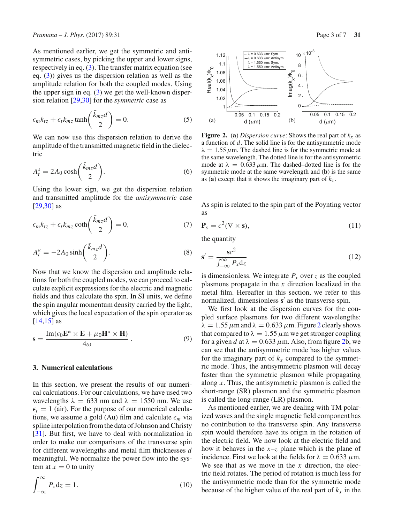As mentioned earlier, we get the symmetric and antisymmetric cases, by picking the upper and lower signs, respectively in eq. (3). The transfer matrix equation (see eq. (3)) gives us the dispersion relation as well as the amplitude relation for both the coupled modes. Using the upper sign in eq.  $(3)$  we get the well-known dispersion relation [29,30] for the *symmetric* case as

$$
\epsilon_m k_{tz} + \epsilon_t k_{mz} \tanh\left(\frac{\bar{k}_{mz}d}{2}\right) = 0. \tag{5}
$$

We can now use this dispersion relation to derive the amplitude of the transmitted magnetic field in the dielectric

$$
A_t^s = 2A_0 \cosh\left(\frac{k_{mz}d}{2}\right).
$$
 (6)

Using the lower sign, we get the dispersion relation and transmitted amplitude for the *antisymmetric* case [29,30] as

$$
\epsilon_m k_{tz} + \epsilon_t k_{mz} \coth\left(\frac{\bar{k}_{mz}d}{2}\right) = 0,\tag{7}
$$

$$
A_t^a = -2A_0 \sinh\left(\frac{\bar{k}_{mz}d}{2}\right).
$$
 (8)

Now that we know the dispersion and amplitude relations for both the coupled modes, we can proceed to calculate explicit expressions for the electric and magnetic fields and thus calculate the spin. In SI units, we define the spin angular momentum density carried by the light, which gives the local expectation of the spin operator as [14,15] as

$$
\mathbf{s} = \frac{\mathrm{Im}(\epsilon_0 \mathbf{E}^* \times \mathbf{E} + \mu_0 \mathbf{H}^* \times \mathbf{H})}{4\omega} \,. \tag{9}
$$

# **3. Numerical calculations**

In this section, we present the results of our numerical calculations. For our calculations, we have used two wavelengths  $\lambda = 633$  nm and  $\lambda = 1550$  nm. We use  $\epsilon_t = 1$  (air). For the purpose of our numerical calculations, we assume a gold (Au) film and calculate  $\epsilon_m$  via spline interpolation from the data of Johnson and Christy [31]. But first, we have to deal with normalization in order to make our comparisons of the transverse spin for different wavelengths and metal film thicknesses *d* meaningful. We normalize the power flow into the system at  $x = 0$  to unity

$$
\int_{-\infty}^{\infty} P_x dz = 1.
$$
 (10)



**Figure 2.** (a) *Dispersion curve*: Shows the real part of  $k_x$  as a function of *d*. The solid line is for the antisymmetric mode  $\lambda = 1.55 \mu$ m. The dashed line is for the symmetric mode at the same wavelength. The dotted line is for the antisymmetric mode at  $\lambda = 0.633 \,\mu \text{m}$ . The dashed–dotted line is for the symmetric mode at the same wavelength and (**b**) is the same as (a) except that it shows the imaginary part of  $k_x$ .

As spin is related to the spin part of the Poynting vector as

$$
\mathbf{P}_s = c^2 (\nabla \times \mathbf{s}),\tag{11}
$$

the quantity

$$
\mathbf{s}' = \frac{\mathbf{s}c^2}{\int_{-\infty}^{\infty} P_x \mathbf{d}z} \tag{12}
$$

is dimensionless. We integrate  $P_x$  over  $z$  as the coupled plasmons propagate in the *x* direction localized in the metal film. Hereafter in this section, we refer to this normalized, dimensionless **s**' as the transverse spin.

We first look at the dispersion curves for the coupled surface plasmons for two different wavelengths:  $\lambda = 1.55 \,\mu\text{m}$  and  $\lambda = 0.633 \,\mu\text{m}$ . Figure 2 clearly shows that compared to  $\lambda = 1.55 \mu m$  we get stronger coupling for a given *d* at  $\lambda = 0.633 \mu$ m. Also, from figure 2b, we can see that the antisymmetric mode has higher values for the imaginary part of  $k_x$  compared to the symmetric mode. Thus, the antisymmetric plasmon will decay faster than the symmetric plasmon while propagating along *x*. Thus, the antisymmetric plasmon is called the short-range (SR) plasmon and the symmetric plasmon is called the long-range (LR) plasmon.

As mentioned earlier, we are dealing with TM polarized waves and the single magnetic field component has no contribution to the transverse spin. Any transverse spin would therefore have its origin in the rotation of the electric field. We now look at the electric field and how it behaves in the *x*–*z* plane which is the plane of incidence. First we look at the fields for  $\lambda = 0.633 \,\mu$ m. We see that as we move in the *x* direction, the electric field rotates. The period of rotation is much less for the antisymmetric mode than for the symmetric mode because of the higher value of the real part of  $k_x$  in the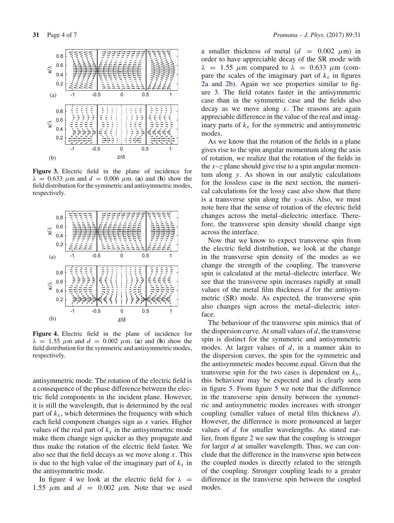

**Figure 3.** Electric field in the plane of incidence for  $\lambda = 0.633$   $\mu$ m and  $d = 0.006$   $\mu$ m. (**a**) and (**b**) show the field distribution for the symmetric and antisymmetric modes, respectively.



**Figure 4.** Electric field in the plane of incidence for  $\lambda = 1.55$   $\mu$ m and  $d = 0.002$   $\mu$ m. (a) and (b) show the field distribution for the symmetric and antisymmetric modes, respectively.

antisymmetric mode. The rotation of the electric field is a consequence of the phase difference between the electric field components in the incident plane. However, it is still the wavelength, that is determined by the real part of  $k_x$ , which determines the frequency with which each field component changes sign as *x* varies. Higher values of the real part of  $k_x$  in the antisymmetric mode make them change sign quicker as they propagate and thus make the rotation of the electric field faster. We also see that the field decays as we move along *x*. This is due to the high value of the imaginary part of  $k_x$  in the antisymmetric mode.

In figure 4 we look at the electric field for  $\lambda =$ 1.55  $\mu$ m and  $d = 0.002 \mu$ m. Note that we used a smaller thickness of metal  $(d = 0.002 \mu m)$  in order to have appreciable decay of the SR mode with  $\lambda$  = 1.55  $\mu$ m compared to  $\lambda$  = 0.633  $\mu$ m (compare the scales of the imaginary part of  $k_x$  in figures 2a and 2b). Again we see properties similar to figure 3. The field rotates faster in the antisymmetric case than in the symmetric case and the fields also decay as we move along *x*. The reasons are again appreciable difference in the value of the real and imaginary parts of  $k_x$  for the symmetric and antisymmetric modes.

As we know that the rotation of the fields in a plane gives rise to the spin angular momentum along the axis of rotation, we realize that the rotation of the fields in the  $x-z$  plane should give rise to a spin angular momentum along *y*. As shown in our analytic calculations for the lossless case in the next section, the numerical calculations for the lossy case also show that there is a transverse spin along the *y*-axis. Also, we must note here that the sense of rotation of the electric field changes across the metal–dielectric interface. Therefore, the transverse spin density should change sign across the interface.

Now that we know to expect transverse spin from the electric field distribution, we look at the change in the transverse spin density of the modes as we change the strength of the coupling. The transverse spin is calculated at the metal–dielectrc interface. We see that the transverse spin increases rapidly at small values of the metal film thickness *d* for the antisymmetric (SR) mode. As expected, the transverse spin also changes sign across the metal–dielectric interface.

The behaviour of the transverse spin mimics that of the dispersion curve. At small values of *d*, the transverse spin is distinct for the symmetric and antisymmetric modes. At larger values of *d*, in a manner akin to the dispersion curves, the spin for the symmetric and the antisymmetric modes become equal. Given that the transverse spin for the two cases is dependent on  $k_x$ , this behaviour may be expected and is clearly seen in figure 5. From figure 5 we note that the difference in the transverse spin density between the symmetric and antisymmetric modes increases with stronger coupling (smaller values of metal film thickness *d*). However, the difference is more pronounced at larger values of *d* for smaller wavelengths. As stated earlier, from figure 2 we saw that the coupling is stronger for larger *d* at smaller wavelength. Thus, we can conclude that the difference in the transverse spin between the coupled modes is directly related to the strength of the coupling. Stronger coupling leads to a greater difference in the transverse spin between the coupled modes.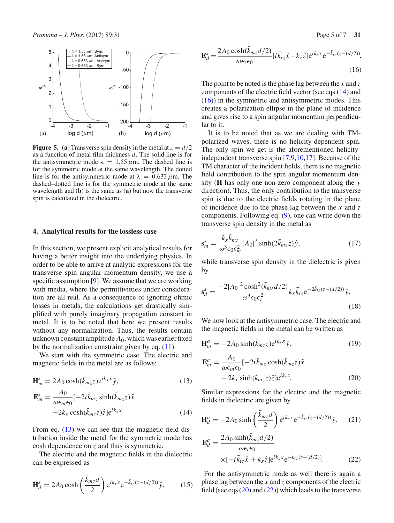

**Figure 5.** (a) Transverse spin density in the metal at  $z = d/2$ as a function of metal film thickness *d*. The solid line is for the antisymmetric mode  $\lambda = 1.55 \,\mu\text{m}$ . The dashed line is for the symmetric mode at the same wavelength. The dotted line is for the antisymmetric mode at  $\lambda = 0.633 \,\mu$ m. The dashed–dotted line is for the symmetric mode at the same wavelength and (**b**) is the same as (**a**) but now the transverse spin is calculated in the dielectric.

#### **4. Analytical results for the lossless case**

In this section, we present explicit analytical results for having a better insight into the underlying physics. In order to be able to arrive at analytic expressions for the transverse spin angular momentum density, we use a specific assumption [9]. We assume that we are working with media, where the permittivitties under consideration are all real. As a consequence of ignoring ohmic losses in metals, the calculations get drastically simplified with purely imaginary propagation constant in metal. It is to be noted that here we present results without any normalization. Thus, the results contain unknown constant amplitude *A*0, which was earlier fixed by the normalization constraint given by eq.  $(11)$ .

We start with the symmetric case. The electric and magnetic fields in the metal are as follows:

$$
\mathbf{H}_m^s = 2A_0 \cosh(\bar{k}_{mz}z) e^{ik_x x} \hat{\mathbf{y}},\tag{13}
$$

$$
\mathbf{E}_m^s = \frac{A_0}{\omega \epsilon_m \epsilon_0} [-2i\bar{k}_{mz} \sinh(\bar{k}_{mz}z)\hat{x} -2k_x \cosh(\bar{k}_{mz}z)\hat{z}]e^{ik_x x}.
$$
 (14)

From eq. (13) we can see that the magnetic field distribution inside the metal for the symmetric mode has cosh dependence on *z* and thus is symmetric.

The electric and the magnetic fields in the dielectric can be expressed as

$$
\mathbf{H}_d^s = 2A_0 \cosh\left(\frac{\bar{k}_{mz}d}{2}\right) e^{ik_x x} e^{-\bar{k}_{tz}(z - (d/2))} \hat{y},\qquad(15)
$$

$$
\mathbf{E}_d^s = \frac{2A_0 \cosh(k_{mz} d/2)}{\omega \epsilon_t \epsilon_0} [i\bar{k}_{tz}\hat{x} - k_x \hat{z}] e^{ik_x x} e^{-\bar{k}_{tz}(z - (d/2))}.
$$
\n(16)

The point to be noted is the phase lag between the *x* and *z* components of the electric field vector (see eqs (14) and (16)) in the symmetric and antisymmetric modes. This creates a polarization ellipse in the plane of incidence and gives rise to a spin angular momentum perpendicular to it.

It is to be noted that as we are dealing with TMpolarized waves, there is no helicity-dependent spin. The only spin we get is the aforementioned helicityindependent transverse spin [7,9,10,17]. Because of the TM character of the incident fields, there is no magnetic field contribution to the spin angular momentum density (**H** has only one non-zero component along the *y* direction). Thus, the only contribution to the transverse spin is due to the electric fields rotating in the plane of incidence due to the phase lag between the *x* and *z* components. Following eq. (9), one can write down the transverse spin density in the metal as

$$
\mathbf{s}_m^s = \frac{k_x \bar{k}_{mz}}{\omega^3 \epsilon_0 \epsilon_m^2} |A_0|^2 \sinh(2\bar{k}_{mz}z)\hat{\mathbf{y}},\tag{17}
$$

while transverse spin density in the dielectric is given by

$$
\mathbf{s}_d^s = \frac{-2|A_0|^2 \cosh^2(\bar{k}_{mz}d/2)}{\omega^3 \epsilon_0 \epsilon_t^2} k_x \bar{k}_{tz} e^{-2\bar{k}_{tz}(z - (d/2))} \hat{y}.
$$
\n(18)

We now look at the antisymmetric case. The electric and the magnetic fields in the metal can be written as

$$
\mathbf{H}_{m}^{a} = -2A_0 \sinh(\bar{k}_{mz}z) e^{ik_x x} \hat{y}, \qquad (19)
$$

$$
\mathbf{E}_{m}^{a} = \frac{A_{0}}{\omega \epsilon_{m} \epsilon_{0}} [-2i\bar{k}_{mz} \cosh(\bar{k}_{mz}z)\hat{x} + 2k_{x} \sinh(\bar{k}_{mz}z)\hat{z}]e^{ik_{x}x}.
$$
 (20)

Similar expressions for the electric and the magnetic fields in dielectric are given by

$$
\mathbf{H}_{d}^{a} = -2A_{0} \sinh\left(\frac{\bar{k}_{mz}d}{2}\right) e^{ik_{x}x} e^{-\bar{k}_{tz}(z-(d/2))}\hat{y}, \quad (21)
$$

$$
\mathbf{E}_{d}^{a} = \frac{2A_{0} \sinh(\bar{k}_{mz}d/2)}{\omega\epsilon_{t}\epsilon_{0}} \times [-i\bar{k}_{tz}\hat{x} + k_{x}\hat{z}]e^{ik_{x}x} e^{-\bar{k}_{tz}(z-(d/2))}. \quad (22)
$$

For the antisymmetric mode as well there is again a phase lag between the *x* and *z* components of the electric field (see eqs  $(20)$  and  $(22)$ ) which leads to the transverse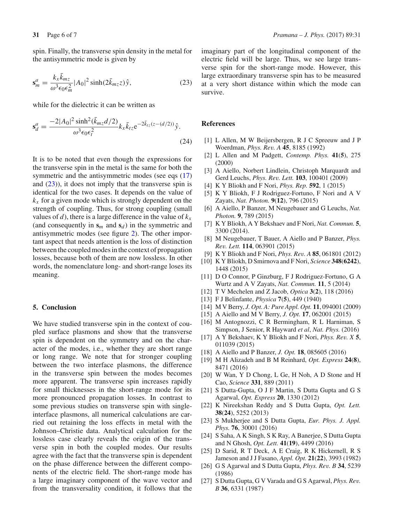spin. Finally, the transverse spin density in the metal for the antisymmetric mode is given by

$$
\mathbf{s}_m^a = \frac{k_x \bar{k}_{mz}}{\omega^3 \epsilon_0 \epsilon_m^2} |A_0|^2 \sinh(2\bar{k}_{mz}z) \hat{\mathbf{y}},\tag{23}
$$

while for the dielectric it can be written as

$$
\mathbf{s}_d^a = \frac{-2|A_0|^2 \sinh^2(\bar{k}_{mz}d/2)}{\omega^3 \epsilon_0 \epsilon_l^2} k_x \bar{k}_{tz} e^{-2\bar{k}_{tz}(z - (d/2))} \hat{y}.
$$
\n(24)

It is to be noted that even though the expressions for the transverse spin in the metal is the same for both the symmetric and the antisymmetric modes (see eqs  $(17)$ ) and  $(23)$ ), it does not imply that the transverse spin is identical for the two cases. It depends on the value of  $k_x$  for a given mode which is strongly dependent on the strength of coupling. Thus, for strong coupling (small values of *d*), there is a large difference in the value of  $k_x$ (and consequently in  $\mathbf{s}_m$  and  $\mathbf{s}_d$ ) in the symmetric and antisymmetric modes (see figure 2). The other important aspect that needs attention is the loss of distinction between the coupled modes in the context of propagation losses, because both of them are now lossless. In other words, the nomenclature long- and short-range loses its meaning.

### **5. Conclusion**

We have studied transverse spin in the context of coupled surface plasmons and show that the transverse spin is dependent on the symmetry and on the character of the modes, i.e., whether they are short range or long range. We note that for stronger coupling between the two interface plasmons, the difference in the transverse spin between the modes becomes more apparent. The transverse spin increases rapidly for small thicknesses in the short-range mode for its more pronounced propagation losses. In contrast to some previous studies on transverse spin with singleinterface plasmons, all numerical calculations are carried out retaining the loss effects in metal with the Johnson–Christie data. Analytical calculation for the lossless case clearly reveals the origin of the transverse spin in both the coupled modes. Our results agree with the fact that the transverse spin is dependent on the phase difference between the different components of the electric field. The short-range mode has a large imaginary component of the wave vector and from the transversality condition, it follows that the imaginary part of the longitudinal component of the electric field will be large. Thus, we see large transverse spin for the short-range mode. However, this large extraordinary transverse spin has to be measured at a very short distance within which the mode can survive.

#### **References**

- [1] L Allen, M W Beijersbergen, R J C Spreeuw and J P Woerdman, *Phys. Rev. A* **45**, 8185 (1992)
- [2] L Allen and M Padgett, *Contemp. Phys.* **41**(**5**), 275 (2000)
- [3] A Aiello, Norbert Lindlein, Christoph Marquardt and Gerd Leuchs, *Phys. Rev. Lett.* **103**, 100401 (2009)
- [4] K Y Bliokh and F Nori, *Phys. Rep.* **592**, 1 (2015)
- [5] K Y Bliokh, F J Rodriguez-Fortuno, F Nori and A V Zayats, *Nat. Photon.* **9**(**12**), 796 (2015)
- [6] A Aiello, P Banzer, M Neugebauer and G Leuchs, *Nat. Photon.* **9**, 789 (2015)
- [7] K Y Bliokh, A Y Bekshaev and F Nori, *Nat. Commun.* **5**, 3300 (2014).
- [8] M Neugebauer, T Bauer, A Aiello and P Banzer, *Phys. Rev. Lett.* **114**, 063901 (2015)
- [9] K Y Bliokh and F Nori, *Phys. Rev. A* **85**, 061801 (2012)
- [10] K Y Bliokh, D Smirnova and F Nori, *Science* **348**(**6242**), 1448 (2015)
- [11] D O Connor, P Ginzburg, F J Rodriguez-Fortuno, G A Wurtz and A V Zayats, *Nat. Commun.* **11**, 5 (2014)
- [12] T V Mechelen and Z Jacob, *Optica* **3**(**2**), 118 (2016)
- [13] F J Belinfante, *Physica* **7**(**5**), 449 (1940)
- [14] M V Berry, *J. Opt. A: Pure Appl. Opt.* **11**, 094001 (2009)
- [15] A Aiello and M V Berry, *J. Opt.* **17**, 062001 (2015)
- [16] M Antognozzi, C R Bermingham, R L Harniman, S Simpson, J Senior, R Hayward *et al*, *Nat. Phys.* (2016)
- [17] A Y Bekshaev, K Y Bliokh and F Nori, *Phys. Rev. X* **5**, 011039 (2015)
- [18] A Aiello and P Banzer, *J. Opt.* **18**, 085605 (2016)
- [19] M H Alizadeh and B M Reinhard, *Opt. Express* **24**(**8**), 8471 (2016)
- [20] W Wan, Y D Chong, L Ge, H Noh, A D Stone and H Cao, *Science* **331**, 889 (2011)
- [21] S Dutta-Gupta, O J F Martin, S Dutta Gupta and G S Agarwal, *Opt. Express* **20**, 1330 (2012)
- [22] K Nireekshan Reddy and S Dutta Gupta, *Opt. Lett.* **38**(**24**), 5252 (2013)
- [23] S Mukherjee and S Dutta Gupta, *Eur. Phys. J. Appl. Phys.* **76**, 30001 (2016)
- [24] S Saha, A K Singh, S K Ray, A Banerjee, S Dutta Gupta and N Ghosh, *Opt. Lett.* **41**(**19**), 4499 (2016)
- [25] D Sarid, R T Deck, A E Craig, R K Hickernell, R S Jameson and J J Fasano, *Appl. Opt.* **21**(**22**), 3993 (1982)
- [26] G S Agarwal and S Dutta Gupta, *Phys. Rev. B* **34**, 5239 (1986)
- [27] S Dutta Gupta, G V Varada and G S Agarwal, *Phys. Rev. B* **36**, 6331 (1987)